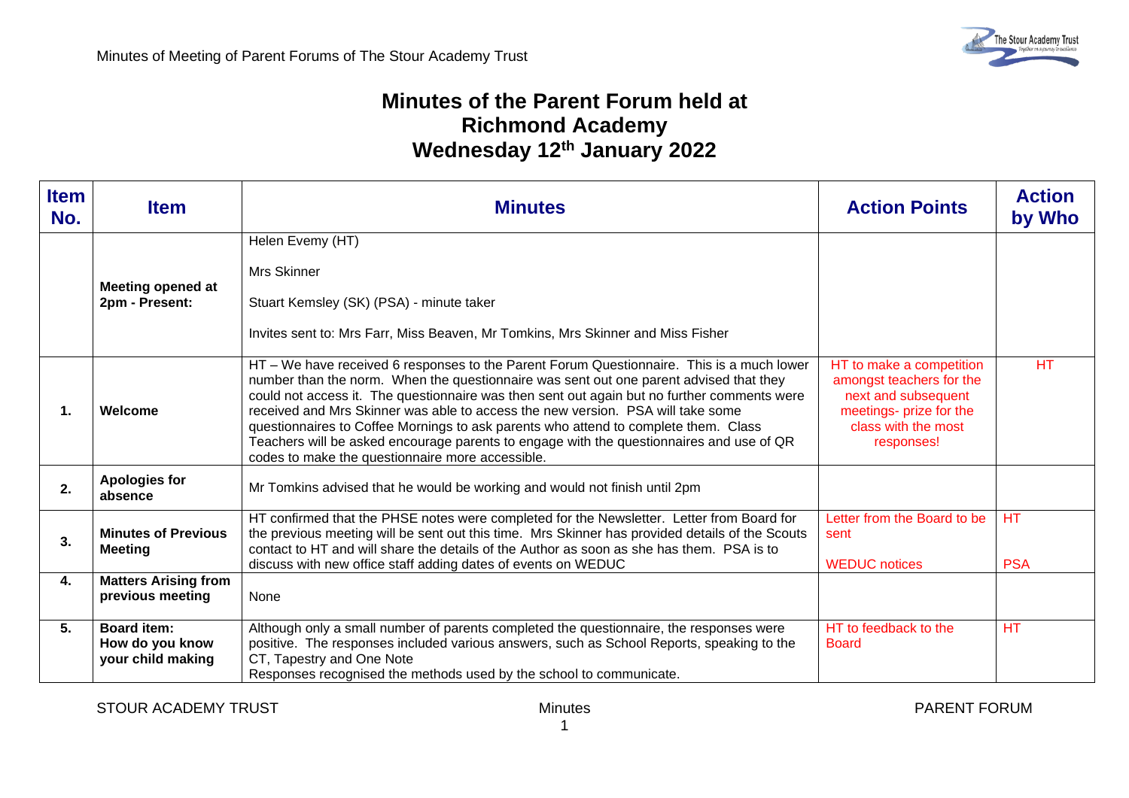## **Minutes of the Parent Forum held at Richmond Academy Wednesday 12th January 2022**

| <b>Item</b><br>No. | <b>Item</b>                                                | <b>Minutes</b>                                                                                                                                                                                                                                                                                                                                                                                                                                                                                                                                                                                               | <b>Action Points</b>                                                                                                                        | <b>Action</b><br>by Who |
|--------------------|------------------------------------------------------------|--------------------------------------------------------------------------------------------------------------------------------------------------------------------------------------------------------------------------------------------------------------------------------------------------------------------------------------------------------------------------------------------------------------------------------------------------------------------------------------------------------------------------------------------------------------------------------------------------------------|---------------------------------------------------------------------------------------------------------------------------------------------|-------------------------|
|                    | <b>Meeting opened at</b><br>2pm - Present:                 | Helen Evemy (HT)<br><b>Mrs Skinner</b><br>Stuart Kemsley (SK) (PSA) - minute taker<br>Invites sent to: Mrs Farr, Miss Beaven, Mr Tomkins, Mrs Skinner and Miss Fisher                                                                                                                                                                                                                                                                                                                                                                                                                                        |                                                                                                                                             |                         |
| 1.                 | Welcome                                                    | HT – We have received 6 responses to the Parent Forum Questionnaire. This is a much lower<br>number than the norm. When the questionnaire was sent out one parent advised that they<br>could not access it. The questionnaire was then sent out again but no further comments were<br>received and Mrs Skinner was able to access the new version. PSA will take some<br>questionnaires to Coffee Mornings to ask parents who attend to complete them. Class<br>Teachers will be asked encourage parents to engage with the questionnaires and use of QR<br>codes to make the questionnaire more accessible. | HT to make a competition<br>amongst teachers for the<br>next and subsequent<br>meetings- prize for the<br>class with the most<br>responses! | <b>HT</b>               |
| 2.                 | <b>Apologies for</b><br>absence                            | Mr Tomkins advised that he would be working and would not finish until 2pm                                                                                                                                                                                                                                                                                                                                                                                                                                                                                                                                   |                                                                                                                                             |                         |
| 3.                 | <b>Minutes of Previous</b><br><b>Meeting</b>               | HT confirmed that the PHSE notes were completed for the Newsletter. Letter from Board for<br>the previous meeting will be sent out this time. Mrs Skinner has provided details of the Scouts<br>contact to HT and will share the details of the Author as soon as she has them. PSA is to<br>discuss with new office staff adding dates of events on WEDUC                                                                                                                                                                                                                                                   | Letter from the Board to be<br>sent<br><b>WEDUC</b> notices                                                                                 | <b>HT</b><br><b>PSA</b> |
| 4.                 | <b>Matters Arising from</b><br>previous meeting            | None                                                                                                                                                                                                                                                                                                                                                                                                                                                                                                                                                                                                         |                                                                                                                                             |                         |
| 5.                 | <b>Board item:</b><br>How do you know<br>your child making | Although only a small number of parents completed the questionnaire, the responses were<br>positive. The responses included various answers, such as School Reports, speaking to the<br>CT, Tapestry and One Note<br>Responses recognised the methods used by the school to communicate.                                                                                                                                                                                                                                                                                                                     | HT to feedback to the<br><b>Board</b>                                                                                                       | <b>HT</b>               |